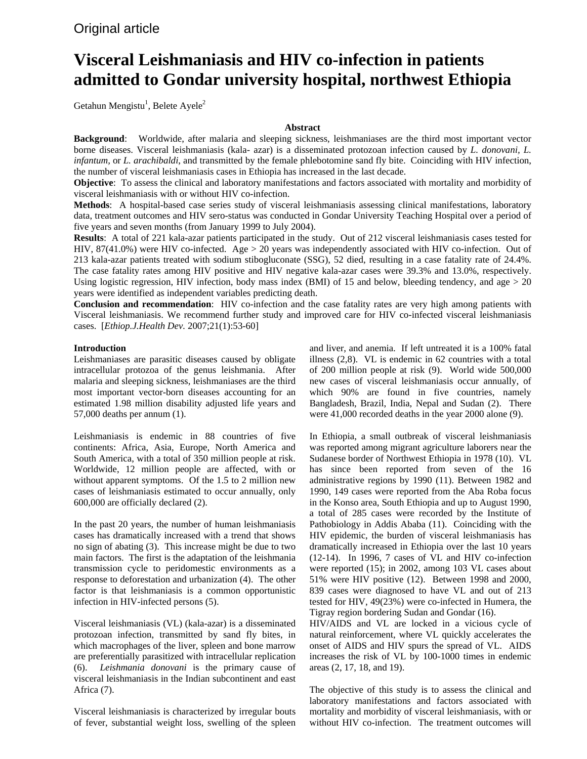# **Visceral Leishmaniasis and HIV co-infection in patients admitted to Gondar university hospital, northwest Ethiopia**

Getahun Mengistu<sup>1</sup>, Belete Ayele<sup>2</sup>

# **Abstract**

**Background**: Worldwide, after malaria and sleeping sickness, leishmaniases are the third most important vector borne diseases. Visceral leishmaniasis (kala- azar) is a disseminated protozoan infection caused by *L. donovani, L. infantum,* or *L. arachibaldi*, and transmitted by the female phlebotomine sand fly bite. Coinciding with HIV infection, the number of visceral leishmaniasis cases in Ethiopia has increased in the last decade.

**Objective**: To assess the clinical and laboratory manifestations and factors associated with mortality and morbidity of visceral leishmaniasis with or without HIV co-infection.

**Methods**: A hospital-based case series study of visceral leishmaniasis assessing clinical manifestations, laboratory data, treatment outcomes and HIV sero-status was conducted in Gondar University Teaching Hospital over a period of five years and seven months (from January 1999 to July 2004).

**Results**: A total of 221 kala-azar patients participated in the study. Out of 212 visceral leishmaniasis cases tested for HIV, 87(41.0%) were HIV co-infected. Age > 20 years was independently associated with HIV co-infection. Out of 213 kala-azar patients treated with sodium stibogluconate (SSG), 52 died, resulting in a case fatality rate of 24.4%. The case fatality rates among HIV positive and HIV negative kala-azar cases were 39.3% and 13.0%, respectively. Using logistic regression, HIV infection, body mass index (BMI) of 15 and below, bleeding tendency, and age  $> 20$ years were identified as independent variables predicting death.

**Conclusion and recommendation**: HIV co-infection and the case fatality rates are very high among patients with Visceral leishmaniasis. We recommend further study and improved care for HIV co-infected visceral leishmaniasis cases. [*Ethiop.J.Health Dev.* 2007;21(1):53-60]

# **Introduction**

Leishmaniases are parasitic diseases caused by obligate intracellular protozoa of the genus leishmania. After malaria and sleeping sickness, leishmaniases are the third most important vector-born diseases accounting for an estimated 1.98 million disability adjusted life years and 57,000 deaths per annum (1).

Leishmaniasis is endemic in 88 countries of five continents: Africa, Asia, Europe, North America and South America, with a total of 350 million people at risk. Worldwide, 12 million people are affected, with or without apparent symptoms. Of the 1.5 to 2 million new cases of leishmaniasis estimated to occur annually, only 600,000 are officially declared (2).

In the past 20 years, the number of human leishmaniasis cases has dramatically increased with a trend that shows no sign of abating (3). This increase might be due to two main factors. The first is the adaptation of the leishmania transmission cycle to peridomestic environments as a response to deforestation and urbanization (4). The other factor is that leishmaniasis is a common opportunistic infection in HIV-infected persons (5).

Visceral leishmaniasis (VL) (kala-azar) is a disseminated protozoan infection, transmitted by sand fly bites, in which macrophages of the liver, spleen and bone marrow are preferentially parasitized with intracellular replication (6). *Leishmania donovani* is the primary cause of visceral leishmaniasis in the Indian subcontinent and east Africa (7).

Visceral leishmaniasis is characterized by irregular bouts of fever, substantial weight loss, swelling of the spleen and liver, and anemia. If left untreated it is a 100% fatal illness (2,8). VL is endemic in 62 countries with a total of 200 million people at risk (9). World wide 500,000 new cases of visceral leishmaniasis occur annually, of which 90% are found in five countries, namely Bangladesh, Brazil, India, Nepal and Sudan (2). There were 41,000 recorded deaths in the year 2000 alone (9).

In Ethiopia, a small outbreak of visceral leishmaniasis was reported among migrant agriculture laborers near the Sudanese border of Northwest Ethiopia in 1978 (10). VL has since been reported from seven of the 16 administrative regions by 1990 (11). Between 1982 and 1990, 149 cases were reported from the Aba Roba focus in the Konso area, South Ethiopia and up to August 1990, a total of 285 cases were recorded by the Institute of Pathobiology in Addis Ababa (11). Coinciding with the HIV epidemic, the burden of visceral leishmaniasis has dramatically increased in Ethiopia over the last 10 years (12-14). In 1996, 7 cases of VL and HIV co-infection were reported (15); in 2002, among 103 VL cases about 51% were HIV positive (12). Between 1998 and 2000, 839 cases were diagnosed to have VL and out of 213 tested for HIV, 49(23%) were co-infected in Humera, the Tigray region bordering Sudan and Gondar (16).

HIV/AIDS and VL are locked in a vicious cycle of natural reinforcement, where VL quickly accelerates the onset of AIDS and HIV spurs the spread of VL. AIDS increases the risk of VL by 100-1000 times in endemic areas (2, 17, 18, and 19).

The objective of this study is to assess the clinical and laboratory manifestations and factors associated with mortality and morbidity of visceral leishmaniasis, with or without HIV co-infection. The treatment outcomes will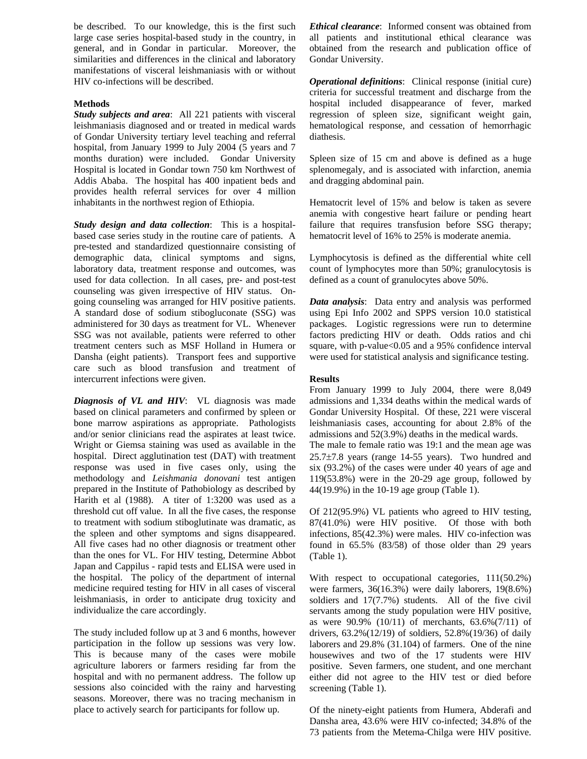be described. To our knowledge, this is the first such large case series hospital-based study in the country, in general, and in Gondar in particular. Moreover, the similarities and differences in the clinical and laboratory manifestations of visceral leishmaniasis with or without HIV co-infections will be described.

# **Methods**

*Study subjects and area*: All 221 patients with visceral leishmaniasis diagnosed and or treated in medical wards of Gondar University tertiary level teaching and referral hospital, from January 1999 to July 2004 (5 years and 7 months duration) were included. Gondar University Hospital is located in Gondar town 750 km Northwest of Addis Ababa. The hospital has 400 inpatient beds and provides health referral services for over 4 million inhabitants in the northwest region of Ethiopia.

*Study design and data collection*: This is a hospitalbased case series study in the routine care of patients. A pre-tested and standardized questionnaire consisting of demographic data, clinical symptoms and signs, laboratory data, treatment response and outcomes, was used for data collection. In all cases, pre- and post-test counseling was given irrespective of HIV status. Ongoing counseling was arranged for HIV positive patients. A standard dose of sodium stibogluconate (SSG) was administered for 30 days as treatment for VL. Whenever SSG was not available, patients were referred to other treatment centers such as MSF Holland in Humera or Dansha (eight patients). Transport fees and supportive care such as blood transfusion and treatment of intercurrent infections were given.

*Diagnosis of VL and HIV*: VL diagnosis was made based on clinical parameters and confirmed by spleen or bone marrow aspirations as appropriate. Pathologists and/or senior clinicians read the aspirates at least twice. Wright or Giemsa staining was used as available in the hospital. Direct agglutination test (DAT) with treatment response was used in five cases only, using the methodology and *Leishmania donovani* test antigen prepared in the Institute of Pathobiology as described by Harith et al (1988). A titer of 1:3200 was used as a threshold cut off value. In all the five cases, the response to treatment with sodium stiboglutinate was dramatic, as the spleen and other symptoms and signs disappeared. All five cases had no other diagnosis or treatment other than the ones for VL. For HIV testing, Determine Abbot Japan and Cappilus - rapid tests and ELISA were used in the hospital. The policy of the department of internal medicine required testing for HIV in all cases of visceral leishmaniasis, in order to anticipate drug toxicity and individualize the care accordingly.

The study included follow up at 3 and 6 months, however participation in the follow up sessions was very low. This is because many of the cases were mobile agriculture laborers or farmers residing far from the hospital and with no permanent address. The follow up sessions also coincided with the rainy and harvesting seasons. Moreover, there was no tracing mechanism in place to actively search for participants for follow up.

*Ethical clearance*: Informed consent was obtained from all patients and institutional ethical clearance was obtained from the research and publication office of Gondar University.

*Operational definitions*: Clinical response (initial cure) criteria for successful treatment and discharge from the hospital included disappearance of fever, marked regression of spleen size, significant weight gain, hematological response, and cessation of hemorrhagic diathesis.

Spleen size of 15 cm and above is defined as a huge splenomegaly, and is associated with infarction, anemia and dragging abdominal pain.

Hematocrit level of 15% and below is taken as severe anemia with congestive heart failure or pending heart failure that requires transfusion before SSG therapy; hematocrit level of 16% to 25% is moderate anemia.

Lymphocytosis is defined as the differential white cell count of lymphocytes more than 50%; granulocytosis is defined as a count of granulocytes above 50%.

*Data analysis*: Data entry and analysis was performed using Epi Info 2002 and SPPS version 10.0 statistical packages. Logistic regressions were run to determine factors predicting HIV or death. Odds ratios and chi square, with p-value<0.05 and a 95% confidence interval were used for statistical analysis and significance testing.

## **Results**

From January 1999 to July 2004, there were 8,049 admissions and 1,334 deaths within the medical wards of Gondar University Hospital. Of these, 221 were visceral leishmaniasis cases, accounting for about 2.8% of the admissions and 52(3.9%) deaths in the medical wards.

The male to female ratio was 19:1 and the mean age was 25.7±7.8 years (range 14-55 years). Two hundred and six (93.2%) of the cases were under 40 years of age and 119(53.8%) were in the 20-29 age group, followed by 44(19.9%) in the 10-19 age group (Table 1).

Of 212(95.9%) VL patients who agreed to HIV testing, 87(41.0%) were HIV positive. Of those with both infections, 85(42.3%) were males. HIV co-infection was found in 65.5% (83/58) of those older than 29 years (Table 1).

With respect to occupational categories, 111(50.2%) were farmers, 36(16.3%) were daily laborers, 19(8.6%) soldiers and 17(7.7%) students. All of the five civil servants among the study population were HIV positive, as were 90.9% (10/11) of merchants, 63.6%(7/11) of drivers, 63.2%(12/19) of soldiers, 52.8%(19/36) of daily laborers and 29.8% (31.104) of farmers. One of the nine housewives and two of the 17 students were HIV positive. Seven farmers, one student, and one merchant either did not agree to the HIV test or died before screening (Table 1).

Of the ninety-eight patients from Humera, Abderafi and Dansha area, 43.6% were HIV co-infected; 34.8% of the 73 patients from the Metema-Chilga were HIV positive.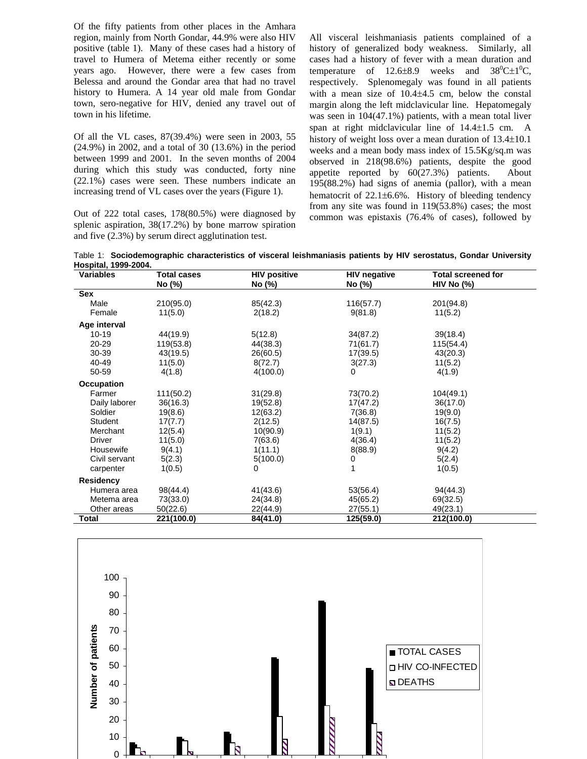Of the fifty patients from other places in the Amhara region, mainly from North Gondar, 44.9% were also HIV positive (table 1). Many of these cases had a history of travel to Humera of Metema either recently or some years ago. However, there were a few cases from Belessa and around the Gondar area that had no travel history to Humera. A 14 year old male from Gondar town, sero-negative for HIV, denied any travel out of town in his lifetime.

Of all the VL cases, 87(39.4%) were seen in 2003, 55 (24.9%) in 2002, and a total of 30 (13.6%) in the period between 1999 and 2001. In the seven months of 2004 during which this study was conducted, forty nine (22.1%) cases were seen. These numbers indicate an increasing trend of VL cases over the years (Figure 1).

Out of 222 total cases, 178(80.5%) were diagnosed by splenic aspiration, 38(17.2%) by bone marrow spiration and five (2.3%) by serum direct agglutination test.

All visceral leishmaniasis patients complained of a history of generalized body weakness. Similarly, all cases had a history of fever with a mean duration and temperature of  $12.6\pm8.9$  weeks and  $38^0C\pm1^0C$ , respectively. Splenomegaly was found in all patients with a mean size of 10.4±4.5 cm, below the constal margin along the left midclavicular line. Hepatomegaly was seen in 104(47.1%) patients, with a mean total liver span at right midclavicular line of 14.4±1.5 cm. A history of weight loss over a mean duration of 13.4±10.1 weeks and a mean body mass index of 15.5Kg/sq.m was observed in 218(98.6%) patients, despite the good appetite reported by 60(27.3%) patients. About 195(88.2%) had signs of anemia (pallor), with a mean hematocrit of 22.1±6.6%. History of bleeding tendency from any site was found in 119(53.8%) cases; the most common was epistaxis (76.4% of cases), followed by

Table 1: **Sociodemographic characteristics of visceral leishmaniasis patients by HIV serostatus, Gondar University Hospital, 1999-2004.**

| IVYPIWI, IVYV LVVTI<br><b>Variables</b> | <b>Total cases</b> | <b>HIV positive</b> | <b>HIV negative</b> | <b>Total screened for</b> |
|-----------------------------------------|--------------------|---------------------|---------------------|---------------------------|
|                                         | No (%)             | No (%)              | No (%)              | HIV No $(\%)$             |
| <b>Sex</b>                              |                    |                     |                     |                           |
| Male                                    | 210(95.0)          | 85(42.3)            | 116(57.7)           | 201(94.8)                 |
| Female                                  | 11(5.0)            | 2(18.2)             | 9(81.8)             | 11(5.2)                   |
| Age interval                            |                    |                     |                     |                           |
| $10 - 19$                               | 44(19.9)           | 5(12.8)             | 34(87.2)            | 39(18.4)                  |
| 20-29                                   | 119(53.8)          | 44(38.3)            | 71(61.7)            | 115(54.4)                 |
| 30-39                                   | 43(19.5)           | 26(60.5)            | 17(39.5)            | 43(20.3)                  |
| 40-49                                   | 11(5.0)            | 8(72.7)             | 3(27.3)             | 11(5.2)                   |
| 50-59                                   | 4(1.8)             | 4(100.0)            | 0                   | 4(1.9)                    |
| Occupation                              |                    |                     |                     |                           |
| Farmer                                  | 111(50.2)          | 31(29.8)            | 73(70.2)            | 104(49.1)                 |
| Daily laborer                           | 36(16.3)           | 19(52.8)            | 17(47.2)            | 36(17.0)                  |
| Soldier                                 | 19(8.6)            | 12(63.2)            | 7(36.8)             | 19(9.0)                   |
| Student                                 | 17(7.7)            | 2(12.5)             | 14(87.5)            | 16(7.5)                   |
| Merchant                                | 12(5.4)            | 10(90.9)            | 1(9.1)              | 11(5.2)                   |
| Driver                                  | 11(5.0)            | 7(63.6)             | 4(36.4)             | 11(5.2)                   |
| Housewife                               | 9(4.1)             | 1(11.1)             | 8(88.9)             | 9(4.2)                    |
| Civil servant                           | 5(2.3)             | 5(100.0)            | 0                   | 5(2.4)                    |
| carpenter                               | 1(0.5)             | $\Omega$            |                     | 1(0.5)                    |
| <b>Residency</b>                        |                    |                     |                     |                           |
| Humera area                             | 98(44.4)           | 41(43.6)            | 53(56.4)            | 94(44.3)                  |
| Metema area                             | 73(33.0)           | 24(34.8)            | 45(65.2)            | 69(32.5)                  |
| Other areas                             | 50(22.6)           | 22(44.9)            | 27(55.1)            | 49(23.1)                  |
| Total                                   | 221(100.0)         | 84(41.0)            | 125(59.0)           | 212(100.0)                |

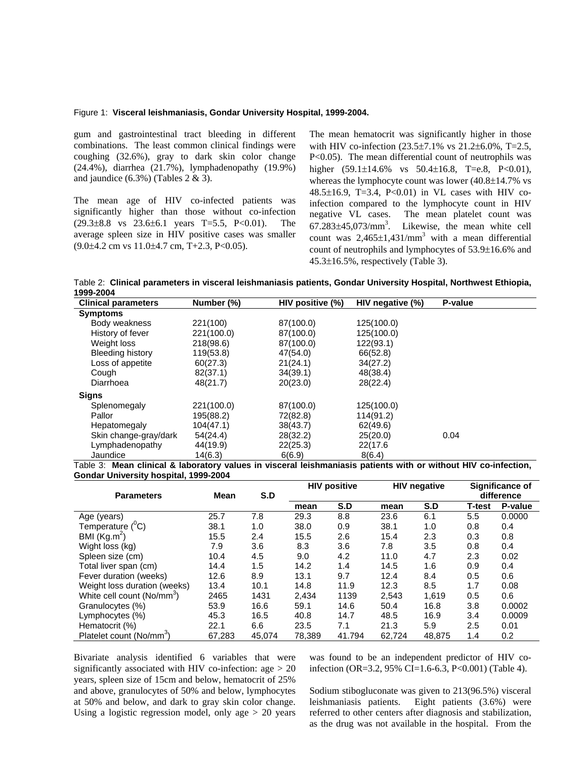#### Figure 1: **Visceral leishmaniasis, Gondar University Hospital, 1999-2004.**

gum and gastrointestinal tract bleeding in different combinations. The least common clinical findings were coughing (32.6%), gray to dark skin color change (24.4%), diarrhea (21.7%), lymphadenopathy (19.9%) and jaundice  $(6.3\%)$  (Tables 2 & 3).

The mean age of HIV co-infected patients was significantly higher than those without co-infection  $(29.3\pm8.8 \text{ vs } 23.6\pm6.1 \text{ years } T=5.5, P<0.01).$  The average spleen size in HIV positive cases was smaller  $(9.0\pm4.2 \text{ cm vs } 11.0\pm4.7 \text{ cm}, T+2.3, P<0.05).$ 

The mean hematocrit was significantly higher in those with HIV co-infection (23.5±7.1% vs 21.2±6.0%, T=2.5, P<0.05). The mean differential count of neutrophils was higher  $(59.1 \pm 14.6\%$  vs  $50.4 \pm 16.8$ , T=e.8, P<0.01), whereas the lymphocyte count was lower (40.8±14.7% vs 48.5±16.9, T=3.4, P<0.01) in VL cases with HIV coinfection compared to the lymphocyte count in HIV negative VL cases. The mean platelet count was  $67.283\pm45,073/\text{mm}^3$ . Likewise, the mean white cell count was  $2,465\pm1,431/\text{mm}^3$  with a mean differential count of neutrophils and lymphocytes of 53.9±16.6% and 45.3±16.5%, respectively (Table 3).

Table 2: **Clinical parameters in visceral leishmaniasis patients, Gondar University Hospital, Northwest Ethiopia, 1999-2004**

| <b>Clinical parameters</b> | Number (%) | HIV positive (%) | HIV negative (%) | P-value |
|----------------------------|------------|------------------|------------------|---------|
| <b>Symptoms</b>            |            |                  |                  |         |
| Body weakness              | 221(100)   | 87(100.0)        | 125(100.0)       |         |
| History of fever           | 221(100.0) | 87(100.0)        | 125(100.0)       |         |
| Weight loss                | 218(98.6)  | 87(100.0)        | 122(93.1)        |         |
| <b>Bleeding history</b>    | 119(53.8)  | 47(54.0)         | 66(52.8)         |         |
| Loss of appetite           | 60(27.3)   | 21(24.1)         | 34(27.2)         |         |
| Cough                      | 82(37.1)   | 34(39.1)         | 48(38.4)         |         |
| Diarrhoea                  | 48(21.7)   | 20(23.0)         | 28(22.4)         |         |
| Signs                      |            |                  |                  |         |
| Splenomegaly               | 221(100.0) | 87(100.0)        | 125(100.0)       |         |
| Pallor                     | 195(88.2)  | 72(82.8)         | 114(91.2)        |         |
| Hepatomegaly               | 104(47.1)  | 38(43.7)         | 62(49.6)         |         |
| Skin change-gray/dark      | 54(24.4)   | 28(32.2)         | 25(20.0)         | 0.04    |
| Lymphadenopathy            | 44(19.9)   | 22(25.3)         | 22(17.6          |         |
| Jaundice                   | 14(6.3)    | 6(6.9)           | 8(6.4)           |         |

Table 3: **Mean clinical & laboratory values in visceral leishmaniasis patients with or without HIV co-infection, Gondar University hospital, 1999-2004** 

|                                        |        | S.D    | <b>HIV positive</b> |        | <b>HIV negative</b> |        | Significance of |            |
|----------------------------------------|--------|--------|---------------------|--------|---------------------|--------|-----------------|------------|
| <b>Parameters</b>                      | Mean   |        |                     |        |                     |        |                 | difference |
|                                        |        |        | mean                | S.D    | mean                | S.D    | <b>T-test</b>   | P-value    |
| Age (years)                            | 25.7   | 7.8    | 29.3                | 8.8    | 23.6                | 6.1    | 5.5             | 0.0000     |
| Temperature ( <sup>0</sup> C)          | 38.1   | 1.0    | 38.0                | 0.9    | 38.1                | 1.0    | 0.8             | 0.4        |
| BMI $(Kg.m^2)$                         | 15.5   | 2.4    | 15.5                | 2.6    | 15.4                | 2.3    | 0.3             | 0.8        |
| Wight loss (kg)                        | 7.9    | 3.6    | 8.3                 | 3.6    | 7.8                 | 3.5    | 0.8             | 0.4        |
| Spleen size (cm)                       | 10.4   | 4.5    | 9.0                 | 4.2    | 11.0                | 4.7    | 2.3             | 0.02       |
| Total liver span (cm)                  | 14.4   | 1.5    | 14.2                | 1.4    | 14.5                | 1.6    | 0.9             | 0.4        |
| Fever duration (weeks)                 | 12.6   | 8.9    | 13.1                | 9.7    | 12.4                | 8.4    | 0.5             | 0.6        |
| Weight loss duration (weeks)           | 13.4   | 10.1   | 14.8                | 11.9   | 12.3                | 8.5    | 1.7             | 0.08       |
| White cell count (No/mm <sup>3</sup> ) | 2465   | 1431   | 2.434               | 1139   | 2,543               | 1.619  | 0.5             | 0.6        |
| Granulocytes (%)                       | 53.9   | 16.6   | 59.1                | 14.6   | 50.4                | 16.8   | 3.8             | 0.0002     |
| Lymphocytes (%)                        | 45.3   | 16.5   | 40.8                | 14.7   | 48.5                | 16.9   | 3.4             | 0.0009     |
| Hematocrit (%)                         | 22.1   | 6.6    | 23.5                | 7.1    | 21.3                | 5.9    | 2.5             | 0.01       |
| Platelet count (No/mm <sup>3</sup> )   | 67.283 | 45.074 | 78.389              | 41.794 | 62.724              | 48.875 | 1.4             | 0.2        |

Bivariate analysis identified 6 variables that were significantly associated with HIV co-infection:  $age > 20$ years, spleen size of 15cm and below, hematocrit of 25% and above, granulocytes of 50% and below, lymphocytes at 50% and below, and dark to gray skin color change. Using a logistic regression model, only age  $> 20$  years was found to be an independent predictor of HIV coinfection (OR=3.2, 95% CI=1.6-6.3, P<0.001) (Table 4).

Sodium stibogluconate was given to 213(96.5%) visceral leishmaniasis patients. Eight patients (3.6%) were referred to other centers after diagnosis and stabilization, as the drug was not available in the hospital. From the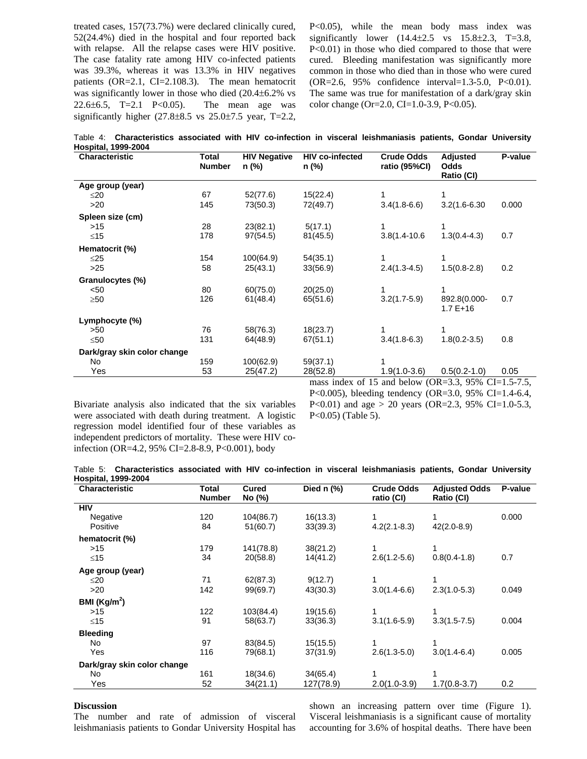treated cases, 157(73.7%) were declared clinically cured, 52(24.4%) died in the hospital and four reported back with relapse. All the relapse cases were HIV positive. The case fatality rate among HIV co-infected patients was 39.3%, whereas it was 13.3% in HIV negatives patients (OR=2.1, CI=2.108.3). The mean hematocrit was significantly lower in those who died (20.4±6.2% vs 22.6 $\pm$ 6.5, T=2.1 P<0.05). The mean age was significantly higher  $(27.8\pm8.5 \text{ vs } 25.0\pm7.5 \text{ year}, T=2.2,$ 

P<0.05), while the mean body mass index was significantly lower  $(14.4 \pm 2.5 \text{ vs } 15.8 \pm 2.3, T = 3.8,$ P<0.01) in those who died compared to those that were cured. Bleeding manifestation was significantly more common in those who died than in those who were cured (OR=2.6, 95% confidence interval=1.3-5.0, P<0.01). The same was true for manifestation of a dark/gray skin color change (Or=2.0, CI=1.0-3.9, P<0.05).

Table 4: **Characteristics associated with HIV co-infection in visceral leishmaniasis patients, Gondar University Hospital, 1999-2004**

| Characteristic              | Total<br>Number | <b>HIV Negative</b><br>n (%) | <b>HIV co-infected</b><br>n (%) | <b>Crude Odds</b><br>ratio (95%CI) | Adjusted<br>Odds<br>Ratio (CI) | P-value |
|-----------------------------|-----------------|------------------------------|---------------------------------|------------------------------------|--------------------------------|---------|
| Age group (year)            |                 |                              |                                 |                                    |                                |         |
| $\leq$ 20                   | 67              | 52(77.6)                     | 15(22.4)                        |                                    | 1                              |         |
| $>20$                       | 145             | 73(50.3)                     | 72(49.7)                        | $3.4(1.8-6.6)$                     | $3.2(1.6 - 6.30)$              | 0.000   |
| Spleen size (cm)            |                 |                              |                                 |                                    |                                |         |
| >15                         | 28              | 23(82.1)                     | 5(17.1)                         |                                    |                                |         |
| ≤15                         | 178             | 97(54.5)                     | 81(45.5)                        | $3.8(1.4 - 10.6)$                  | $1.3(0.4-4.3)$                 | 0.7     |
| Hematocrit (%)              |                 |                              |                                 |                                    |                                |         |
| $\leq$ 25                   | 154             | 100(64.9)                    | 54(35.1)                        |                                    | 1                              |         |
| $>25$                       | 58              | 25(43.1)                     | 33(56.9)                        | $2.4(1.3-4.5)$                     | $1.5(0.8-2.8)$                 | 0.2     |
| Granulocytes (%)            |                 |                              |                                 |                                    |                                |         |
| < 50                        | 80              | 60(75.0)                     | 20(25.0)                        |                                    | 1                              |         |
| $\geq 50$                   | 126             | 61(48.4)                     | 65(51.6)                        | $3.2(1.7-5.9)$                     | 892.8(0.000-<br>$1.7E+16$      | 0.7     |
| Lymphocyte (%)              |                 |                              |                                 |                                    |                                |         |
| >50                         | 76              | 58(76.3)                     | 18(23.7)                        |                                    |                                |         |
| $\leq 50$                   | 131             | 64(48.9)                     | 67(51.1)                        | $3.4(1.8-6.3)$                     | $1.8(0.2 - 3.5)$               | 0.8     |
| Dark/gray skin color change |                 |                              |                                 |                                    |                                |         |
| No.                         | 159             | 100(62.9)                    | 59(37.1)                        |                                    |                                |         |
| Yes                         | 53              | 25(47.2)                     | 28(52.8)                        | $1.9(1.0-3.6)$                     | $0.5(0.2-1.0)$                 | 0.05    |

Bivariate analysis also indicated that the six variables were associated with death during treatment. A logistic regression model identified four of these variables as independent predictors of mortality. These were HIV coinfection (OR=4.2, 95% CI=2.8-8.9, P<0.001), body

s index of 15 and below (OR=3.3, 95% CI=1.5-7.5, P<0.005), bleeding tendency (OR=3.0, 95% CI=1.4-6.4, P<0.01) and age > 20 years (OR=2.3, 95% CI=1.0-5.3, P<0.05) (Table 5).

Table 5: **Characteristics associated with HIV co-infection in visceral leishmaniasis patients, Gondar University Hospital, 1999-2004**

| <b>Characteristic</b>       | Total<br><b>Number</b> | Cured<br>No (%) | Died $n$ (%) | <b>Crude Odds</b><br>ratio (CI) | <b>Adjusted Odds</b><br>Ratio (CI) | P-value |
|-----------------------------|------------------------|-----------------|--------------|---------------------------------|------------------------------------|---------|
| <b>HIV</b>                  |                        |                 |              |                                 |                                    |         |
| Negative                    | 120                    | 104(86.7)       | 16(13.3)     |                                 |                                    | 0.000   |
| Positive                    | 84                     | 51(60.7)        | 33(39.3)     | $4.2(2.1 - 8.3)$                | $42(2.0-8.9)$                      |         |
| hematocrit (%)              |                        |                 |              |                                 |                                    |         |
| >15                         | 179                    | 141(78.8)       | 38(21.2)     |                                 | 1                                  |         |
| $≤15$                       | 34                     | 20(58.8)        | 14(41.2)     | $2.6(1.2-5.6)$                  | $0.8(0.4-1.8)$                     | 0.7     |
| Age group (year)            |                        |                 |              |                                 |                                    |         |
| $\leq$ 20                   | 71                     | 62(87.3)        | 9(12.7)      |                                 | 1                                  |         |
| >20                         | 142                    | 99(69.7)        | 43(30.3)     | $3.0(1.4-6.6)$                  | $2.3(1.0-5.3)$                     | 0.049   |
| BMI ( $\text{Kg/m}^2$ )     |                        |                 |              |                                 |                                    |         |
| >15                         | 122                    | 103(84.4)       | 19(15.6)     |                                 |                                    |         |
| $≤15$                       | 91                     | 58(63.7)        | 33(36.3)     | $3.1(1.6-5.9)$                  | $3.3(1.5-7.5)$                     | 0.004   |
| <b>Bleeding</b>             |                        |                 |              |                                 |                                    |         |
| No                          | 97                     | 83(84.5)        | 15(15.5)     |                                 |                                    |         |
| Yes                         | 116                    | 79(68.1)        | 37(31.9)     | $2.6(1.3-5.0)$                  | $3.0(1.4-6.4)$                     | 0.005   |
| Dark/gray skin color change |                        |                 |              |                                 |                                    |         |
| No                          | 161                    | 18(34.6)        | 34(65.4)     |                                 | 1                                  |         |
| Yes                         | 52                     | 34(21.1)        | 127(78.9)    | $2.0(1.0-3.9)$                  | $1.7(0.8-3.7)$                     | 0.2     |

# **Discussion**

The number and rate of admission of visceral leishmaniasis patients to Gondar University Hospital has shown an increasing pattern over time (Figure 1). Visceral leishmaniasis is a significant cause of mortality accounting for 3.6% of hospital deaths. There have been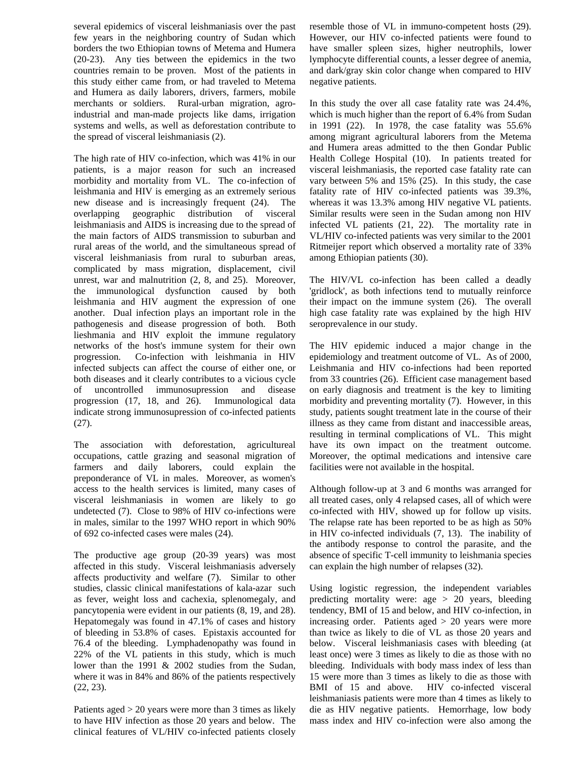several epidemics of visceral leishmaniasis over the past few years in the neighboring country of Sudan which borders the two Ethiopian towns of Metema and Humera (20-23). Any ties between the epidemics in the two countries remain to be proven. Most of the patients in this study either came from, or had traveled to Metema and Humera as daily laborers, drivers, farmers, mobile merchants or soldiers. Rural-urban migration, agroindustrial and man-made projects like dams, irrigation systems and wells, as well as deforestation contribute to the spread of visceral leishmaniasis (2).

The high rate of HIV co-infection, which was 41% in our patients, is a major reason for such an increased morbidity and mortality from VL. The co-infection of leishmania and HIV is emerging as an extremely serious new disease and is increasingly frequent (24). The overlapping geographic distribution of visceral leishmaniasis and AIDS is increasing due to the spread of the main factors of AIDS transmission to suburban and rural areas of the world, and the simultaneous spread of visceral leishmaniasis from rural to suburban areas, complicated by mass migration, displacement, civil unrest, war and malnutrition (2, 8, and 25). Moreover, the immunological dysfunction caused by both leishmania and HIV augment the expression of one another. Dual infection plays an important role in the pathogenesis and disease progression of both. Both lieshmania and HIV exploit the immune regulatory networks of the host's immune system for their own progression. Co-infection with leishmania in HIV infected subjects can affect the course of either one, or both diseases and it clearly contributes to a vicious cycle of uncontrolled immunosupression and disease progression (17, 18, and 26). Immunological data indicate strong immunosupression of co-infected patients (27).

The association with deforestation, agricultureal occupations, cattle grazing and seasonal migration of farmers and daily laborers, could explain the preponderance of VL in males. Moreover, as women's access to the health services is limited, many cases of visceral leishmaniasis in women are likely to go undetected (7). Close to 98% of HIV co-infections were in males, similar to the 1997 WHO report in which 90% of 692 co-infected cases were males (24).

The productive age group (20-39 years) was most affected in this study. Visceral leishmaniasis adversely affects productivity and welfare (7). Similar to other studies, classic clinical manifestations of kala-azar such as fever, weight loss and cachexia, splenomegaly, and pancytopenia were evident in our patients (8, 19, and 28). Hepatomegaly was found in 47.1% of cases and history of bleeding in 53.8% of cases. Epistaxis accounted for 76.4 of the bleeding. Lymphadenopathy was found in 22% of the VL patients in this study, which is much lower than the 1991 & 2002 studies from the Sudan, where it was in 84% and 86% of the patients respectively (22, 23).

Patients aged > 20 years were more than 3 times as likely to have HIV infection as those 20 years and below. The clinical features of VL/HIV co-infected patients closely resemble those of VL in immuno-competent hosts (29). However, our HIV co-infected patients were found to have smaller spleen sizes, higher neutrophils, lower lymphocyte differential counts, a lesser degree of anemia, and dark/gray skin color change when compared to HIV negative patients.

In this study the over all case fatality rate was 24.4%, which is much higher than the report of 6.4% from Sudan in 1991 (22). In 1978, the case fatality was 55.6% among migrant agricultural laborers from the Metema and Humera areas admitted to the then Gondar Public Health College Hospital (10). In patients treated for visceral leishmaniasis, the reported case fatality rate can vary between 5% and 15% (25). In this study, the case fatality rate of HIV co-infected patients was 39.3%, whereas it was 13.3% among HIV negative VL patients. Similar results were seen in the Sudan among non HIV infected VL patients (21, 22). The mortality rate in VL/HIV co-infected patients was very similar to the 2001 Ritmeijer report which observed a mortality rate of 33% among Ethiopian patients (30).

The HIV/VL co-infection has been called a deadly 'gridlock', as both infections tend to mutually reinforce their impact on the immune system (26). The overall high case fatality rate was explained by the high HIV seroprevalence in our study.

The HIV epidemic induced a major change in the epidemiology and treatment outcome of VL. As of 2000, Leishmania and HIV co-infections had been reported from 33 countries (26). Efficient case management based on early diagnosis and treatment is the key to limiting morbidity and preventing mortality (7). However, in this study, patients sought treatment late in the course of their illness as they came from distant and inaccessible areas, resulting in terminal complications of VL. This might have its own impact on the treatment outcome. Moreover, the optimal medications and intensive care facilities were not available in the hospital.

Although follow-up at 3 and 6 months was arranged for all treated cases, only 4 relapsed cases, all of which were co-infected with HIV, showed up for follow up visits. The relapse rate has been reported to be as high as 50% in HIV co-infected individuals (7, 13). The inability of the antibody response to control the parasite, and the absence of specific T-cell immunity to leishmania species can explain the high number of relapses (32).

Using logistic regression, the independent variables predicting mortality were: age  $> 20$  years, bleeding tendency, BMI of 15 and below, and HIV co-infection, in increasing order. Patients aged > 20 years were more than twice as likely to die of VL as those 20 years and below. Visceral leishmaniasis cases with bleeding (at least once) were 3 times as likely to die as those with no bleeding. Individuals with body mass index of less than 15 were more than 3 times as likely to die as those with BMI of 15 and above. HIV co-infected visceral leishmaniasis patients were more than 4 times as likely to die as HIV negative patients. Hemorrhage, low body mass index and HIV co-infection were also among the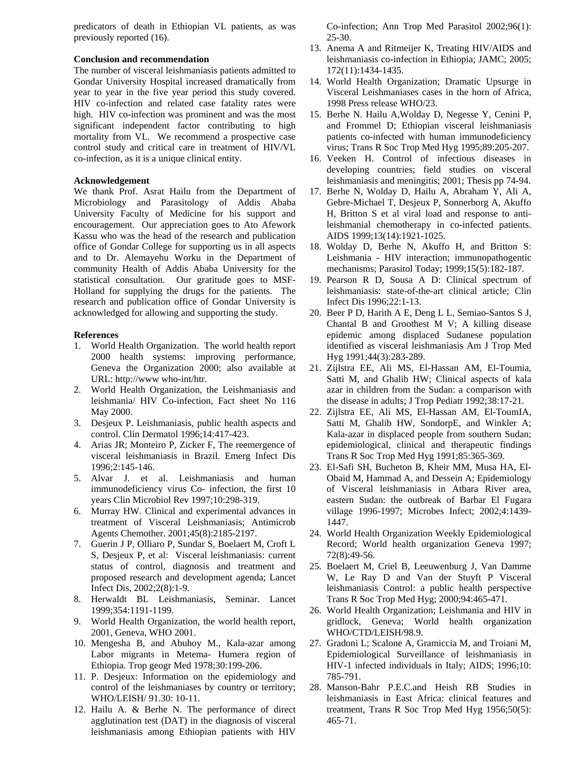predicators of death in Ethiopian VL patients, as was previously reported (16).

## **Conclusion and recommendation**

The number of visceral leishmaniasis patients admitted to Gondar University Hospital increased dramatically from year to year in the five year period this study covered. HIV co-infection and related case fatality rates were high. HIV co-infection was prominent and was the most significant independent factor contributing to high mortality from VL. We recommend a prospective case control study and critical care in treatment of HIV/VL co-infection, as it is a unique clinical entity.

# **Acknowledgement**

We thank Prof. Asrat Hailu from the Department of Microbiology and Parasitology of Addis Ababa University Faculty of Medicine for his support and encouragement. Our appreciation goes to Ato Afework Kassu who was the head of the research and publication office of Gondar College for supporting us in all aspects and to Dr. Alemayehu Worku in the Department of community Health of Addis Ababa University for the statistical consultation. Our gratitude goes to MSF-Holland for supplying the drugs for the patients. The research and publication office of Gondar University is acknowledged for allowing and supporting the study.

### **References**

- 1. World Health Organization. The world health report 2000 health systems: improving performance, Geneva the Organization 2000; also available at URL: http://www who-int/htr.
- 2. World Health Organization, the Leishmaniasis and leishmania/ HIV Co-infection, Fact sheet No 116 May 2000.
- 3. Desjeux P. Leishmaniasis, public health aspects and control. Clin Dermatol 1996;14:417-423.
- 4. Arias JR; Monteiro P, Zicker F, The reemergence of visceral leishmaniasis in Brazil. Emerg Infect Dis 1996;2:145-146.
- 5. Alvar J. et al. Leishmaniasis and human immunodeficiency virus Co- infection, the first 10 years Clin Microbiol Rev 1997;10:298-319.
- 6. Murray HW. Clinical and experimental advances in treatment of Visceral Leishmaniasis; Antimicrob Agents Chemother. 2001;45(8):2185-2197.
- 7. Guerin J P, Olliaro P, Sundar S, Boelaert M, Croft L S, Desjeux P, et al: Visceral leishmaniasis: current status of control, diagnosis and treatment and proposed research and development agenda; Lancet Infect Dis, 2002;2(8):1-9.
- 8. Herwaldt BL Leishmaniasis, Seminar. Lancet 1999;354:1191-1199.
- 9. World Health Organization, the world health report, 2001, Geneva, WHO 2001.
- 10. Mengesha B, and Abuhoy M., Kala-azar among Labor migrants in Metema- Humera region of Ethiopia. Trop geogr Med 1978;30:199-206.
- 11. P. Desjeux: Information on the epidemiology and control of the leishmaniases by country or territory; WHO/LEISH/ 91.30: 10-11.
- 12. Hailu A. & Berhe N. The performance of direct agglutination test (DAT) in the diagnosis of visceral leishmaniasis among Ethiopian patients with HIV

Co-infection; Ann Trop Med Parasitol 2002;96(1): 25-30.

- 13. Anema A and Ritmeijer K, Treating HIV/AIDS and leishmaniasis co-infection in Ethiopia; JAMC; 2005; 172(11):1434-1435.
- 14. World Health Organization; Dramatic Upsurge in Visceral Leishmaniases cases in the horn of Africa, 1998 Press release WHO/23.
- 15. Berhe N. Hailu A,Wolday D, Negesse Y, Cenini P, and Frommel D; Ethiopian visceral leishmaniasis patients co-infected with human immunodeficiency virus; Trans R Soc Trop Med Hyg 1995;89:205-207.
- 16. Veeken H. Control of infectious diseases in developing countries; field studies on visceral leishmaniasis and meningitis; 2001; Thesis pp 74-94.
- 17. Berhe N, Wolday D, Hailu A, Abraham Y, Ali A, Gebre-Michael T, Desjeux P, Sonnerborg A, Akuffo H, Britton S et al viral load and response to antileishmanial chemotherapy in co-infected patients. AIDS 1999;13(14):1921-1025.
- 18. Wolday D, Berhe N, Akuffo H, and Britton S: Leishmania - HIV interaction; immunopathogentic mechanisms; Parasitol Today; 1999;15(5):182-187.
- 19. Pearson R D, Sousa A D: Clinical spectrum of leishmaniasis: state-of-the-art clinical article; Clin Infect Dis 1996;22:1-13.
- 20. Beer P D, Harith A E, Deng L L, Semiao-Santos S J, Chantal B and Groothest M V; A killing disease epidemic among displaced Sudanese population identified as visceral leishmaniasis Am J Trop Med Hyg 1991;44(3):283-289.
- 21. Zijlstra EE, Ali MS, El-Hassan AM, El-Toumia, Satti M, and Ghalib HW; Clinical aspects of kala azar in children from the Sudan: a comparison with the disease in adults; J Trop Pediatr 1992;38:17-21.
- 22. Zijlstra EE, Ali MS, El-Hassan AM, El-ToumIA, Satti M, Ghalib HW, SondorpE, and Winkler A; Kala-azar in displaced people from southern Sudan; epidemiological, clinical and therapeutic findings Trans R Soc Trop Med Hyg 1991;85:365-369.
- 23. El-Safi SH, Bucheton B, Kheir MM, Musa HA, El-Obaid M, Hammad A, and Dessein A; Epidemiology of Visceral leishmaniasis in Atbara River area, eastern Sudan: the outbreak of Barbar El Fugara village 1996-1997; Microbes Infect; 2002;4:1439- 1447.
- 24. World Health Organization Weekly Epidemiological Record; World health organization Geneva 1997; 72(8):49-56.
- 25. Boelaert M, Criel B, Leeuwenburg J, Van Damme W, Le Ray D and Van der Stuyft P Visceral leishmaniasis Control: a public health perspective Trans R Soc Trop Med Hyg; 2000;94:465-471.
- 26. World Health Organization; Leishmania and HIV in gridlock, Geneva; World health organization WHO/CTD/LEISH/98.9.
- 27. Gradoni L; Scalone A, Gramiccia M, and Troiani M, Epidemiological Surveillance of leishmaniasis in HIV-1 infected individuals in Italy; AIDS; 1996;10: 785-791.
- 28. Manson-Bahr P.E.C.and Heish RB Studies in leishmaniasis in East Africa: clinical features and treatment, Trans R Soc Trop Med Hyg 1956;50(5): 465-71.